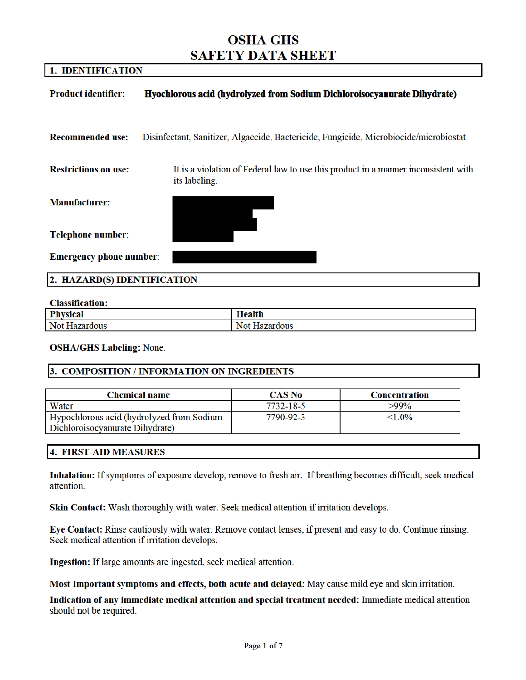# **OSHA GHS SAFETY DATA SHEET**

# 1. IDENTIFICATION

| <b>Product identifier:</b>     | Hyochlorous acid (hydrolyzed from Sodium Dichloroisocyanurate Dihydrate)                            |  |
|--------------------------------|-----------------------------------------------------------------------------------------------------|--|
|                                |                                                                                                     |  |
| <b>Recommended use:</b>        | Disinfectant, Sanitizer, Algaecide, Bactericide, Fungicide, Microbiocide/microbiostat               |  |
|                                |                                                                                                     |  |
| <b>Restrictions on use:</b>    | It is a violation of Federal law to use this product in a manner inconsistent with<br>its labeling. |  |
| <b>Manufacturer:</b>           |                                                                                                     |  |
| <b>Telephone number:</b>       |                                                                                                     |  |
| <b>Emergency phone number:</b> |                                                                                                     |  |
| 2. HAZARD(S) IDENTIFICATION    |                                                                                                     |  |
|                                |                                                                                                     |  |

#### **Classification:**

| Dk.                            | roolt <sup>1</sup> |
|--------------------------------|--------------------|
| المماقسة                       | $\sim$             |
| rш                             | псани              |
| Not<br>$-$<br>чя.<br>uous<br>и | `dous              |

**OSHA/GHS Labeling: None.** 

#### 3. COMPOSITION / INFORMATION ON INGREDIENTS

| <b>Chemical name</b>                      | <b>CAS No</b> | Concentration |
|-------------------------------------------|---------------|---------------|
| Water                                     | 7732-18-5     | $>99\%$       |
| Hypochlorous acid (hydrolyzed from Sodium | 7790-92-3     | $< 1.0\%$     |
| Dichloroisocyanurate Dihydrate)           |               |               |

#### **4. FIRST-AID MEASURES**

Inhalation: If symptoms of exposure develop, remove to fresh air. If breathing becomes difficult, seek medical attention.

Skin Contact: Wash thoroughly with water. Seek medical attention if irritation develops.

Eye Contact: Rinse cautiously with water. Remove contact lenses, if present and easy to do. Continue rinsing. Seek medical attention if irritation develops.

Ingestion: If large amounts are ingested, seek medical attention.

Most Important symptoms and effects, both acute and delayed: May cause mild eye and skin irritation.

Indication of any immediate medical attention and special treatment needed: Immediate medical attention should not be required.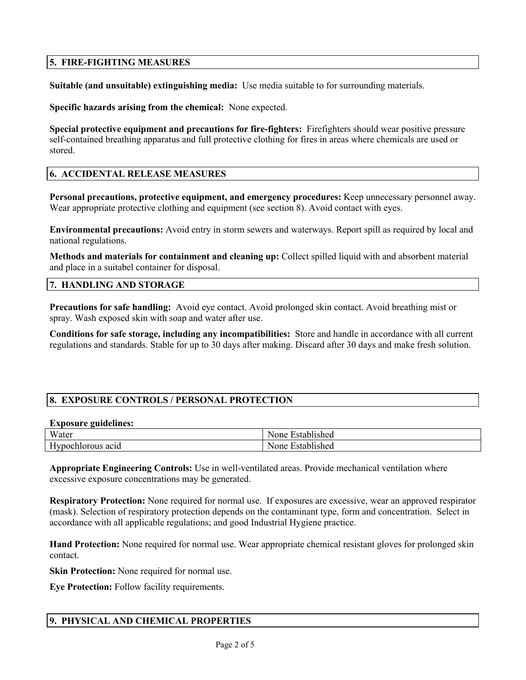# **5. FIRE-FIGHTING MEASURES**

**Suitable (and unsuitable) extinguishing media:** Use media suitable to for surrounding materials.

**Specific hazards arising from the chemical:** None expected.

**Special protective equipment and precautions for fire-fighters:** Firefighters should wear positive pressure self-contained breathing apparatus and full protective clothing for fires in areas where chemicals are used or stored.

# **6. ACCIDENTAL RELEASE MEASURES**

**Personal precautions, protective equipment, and emergency procedures:** Keep unnecessary personnel away. Wear appropriate protective clothing and equipment (see section 8). Avoid contact with eyes.

**Environmental precautions:** Avoid entry in storm sewers and waterways. Report spill as required by local and national regulations.

**Methods and materials for containment and cleaning up:** Collect spilled liquid with and absorbent material and place in a suitabel container for disposal.

#### **7. HANDLING AND STORAGE**

**Precautions for safe handling:** Avoid eye contact. Avoid prolonged skin contact. Avoid breathing mist or spray. Wash exposed skin with soap and water after use.

**Conditions for safe storage, including any incompatibilities:** Store and handle in accordance with all current regulations and standards. Stable for up to 30 days after making. Discard after 30 days and make fresh solution.

# **8. EXPOSURE CONTROLS / PERSONAL PROTECTION**

#### **Exposure guidelines:**

| -------<br>___<br>------                      |                            |
|-----------------------------------------------|----------------------------|
| Water                                         | None<br><b>Established</b> |
| $\mathbf{v}$<br><b>Hypochlorous</b><br>acid ` | None<br><b>Established</b> |

**Appropriate Engineering Controls:** Use in well-ventilated areas. Provide mechanical ventilation where excessive exposure concentrations may be generated.

**Respiratory Protection:** None required for normal use. If exposures are excessive, wear an approved respirator (mask). Selection of respiratory protection depends on the contaminant type, form and concentration. Select in accordance with all applicable regulations; and good Industrial Hygiene practice.

**Hand Protection:** None required for normal use. Wear appropriate chemical resistant gloves for prolonged skin contact.

**Skin Protection:** None required for normal use.

**Eye Protection:** Follow facility requirements.

# **9. PHYSICAL AND CHEMICAL PROPERTIES**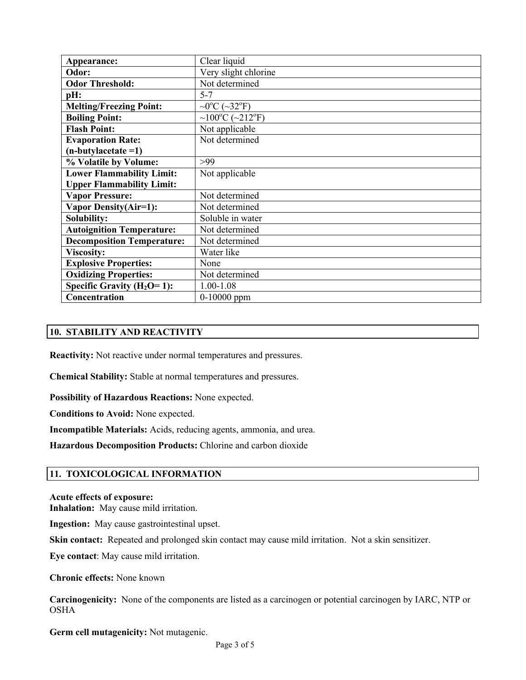| Appearance:                       | Clear liquid                                        |
|-----------------------------------|-----------------------------------------------------|
| Odor:                             | Very slight chlorine                                |
| <b>Odor Threshold:</b>            | Not determined                                      |
| pH:                               | $5 - 7$                                             |
| <b>Melting/Freezing Point:</b>    | $\sim 0$ <sup>o</sup> C ( $\sim 32$ <sup>o</sup> F) |
| <b>Boiling Point:</b>             | ~100°C (~212°F)                                     |
| <b>Flash Point:</b>               | Not applicable                                      |
| <b>Evaporation Rate:</b>          | Not determined                                      |
| $(n$ -butylacetate =1)            |                                                     |
| % Volatile by Volume:             | >99                                                 |
| <b>Lower Flammability Limit:</b>  | Not applicable                                      |
| <b>Upper Flammability Limit:</b>  |                                                     |
| <b>Vapor Pressure:</b>            | Not determined                                      |
| Vapor Density(Air=1):             | Not determined                                      |
| Solubility:                       | Soluble in water                                    |
| <b>Autoignition Temperature:</b>  | Not determined                                      |
| <b>Decomposition Temperature:</b> | Not determined                                      |
| <b>Viscosity:</b>                 | Water like                                          |
| <b>Explosive Properties:</b>      | None                                                |
| <b>Oxidizing Properties:</b>      | Not determined                                      |
| Specific Gravity $(H_2O=1)$ :     | 1.00-1.08                                           |
| Concentration                     | $0-10000$ ppm                                       |

# **10. STABILITY AND REACTIVITY**

**Reactivity:** Not reactive under normal temperatures and pressures.

**Chemical Stability:** Stable at normal temperatures and pressures.

**Possibility of Hazardous Reactions:** None expected.

**Conditions to Avoid:** None expected.

**Incompatible Materials:** Acids, reducing agents, ammonia, and urea.

**Hazardous Decomposition Products:** Chlorine and carbon dioxide

#### **11. TOXICOLOGICAL INFORMATION**

#### **Acute effects of exposure:**

**Inhalation:** May cause mild irritation.

**Ingestion:** May cause gastrointestinal upset.

**Skin contact:** Repeated and prolonged skin contact may cause mild irritation. Not a skin sensitizer.

**Eye contact**: May cause mild irritation.

**Chronic effects:** None known

**Carcinogenicity:** None of the components are listed as a carcinogen or potential carcinogen by IARC, NTP or **OSHA** 

**Germ cell mutagenicity:** Not mutagenic.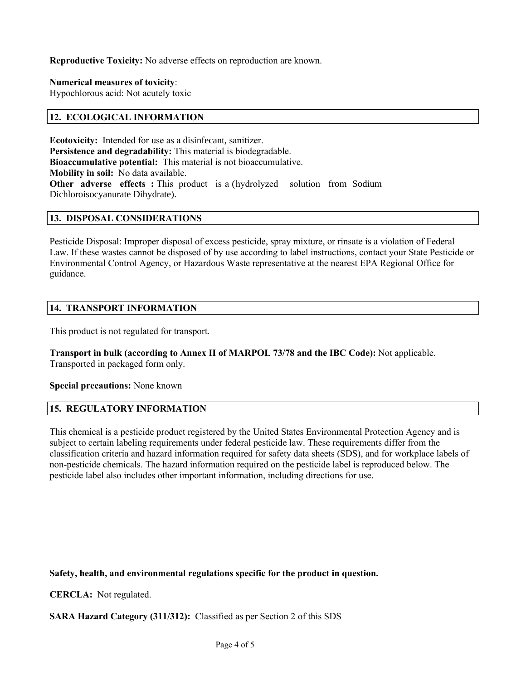**Reproductive Toxicity:** No adverse effects on reproduction are known.

**Numerical measures of toxicity**:

Hypochlorous acid: Not acutely toxic

#### **12. ECOLOGICAL INFORMATION**

**Ecotoxicity:** Intended for use as a disinfecant, sanitizer. **Persistence and degradability:** This material is biodegradable. **Bioaccumulative potential:** This material is not bioaccumulative. **Mobility in soil:** No data available. **Other adverse effects :** This product is a (hydrolyzed solution from Sodium Dichloroisocyanurate Dihydrate).

#### **13. DISPOSAL CONSIDERATIONS**

Pesticide Disposal: Improper disposal of excess pesticide, spray mixture, or rinsate is a violation of Federal Law. If these wastes cannot be disposed of by use according to label instructions, contact your State Pesticide or Environmental Control Agency, or Hazardous Waste representative at the nearest EPA Regional Office for guidance.

#### **14. TRANSPORT INFORMATION**

This product is not regulated for transport.

**Transport in bulk (according to Annex II of MARPOL 73/78 and the IBC Code):** Not applicable. Transported in packaged form only.

#### **Special precautions:** None known

# **15. REGULATORY INFORMATION**

This chemical is a pesticide product registered by the United States Environmental Protection Agency and is subject to certain labeling requirements under federal pesticide law. These requirements differ from the classification criteria and hazard information required for safety data sheets (SDS), and for workplace labels of non-pesticide chemicals. The hazard information required on the pesticide label is reproduced below. The pesticide label also includes other important information, including directions for use.

**Safety, health, and environmental regulations specific for the product in question.**

**CERCLA:** Not regulated.

**SARA Hazard Category (311/312):** Classified as per Section 2 of this SDS